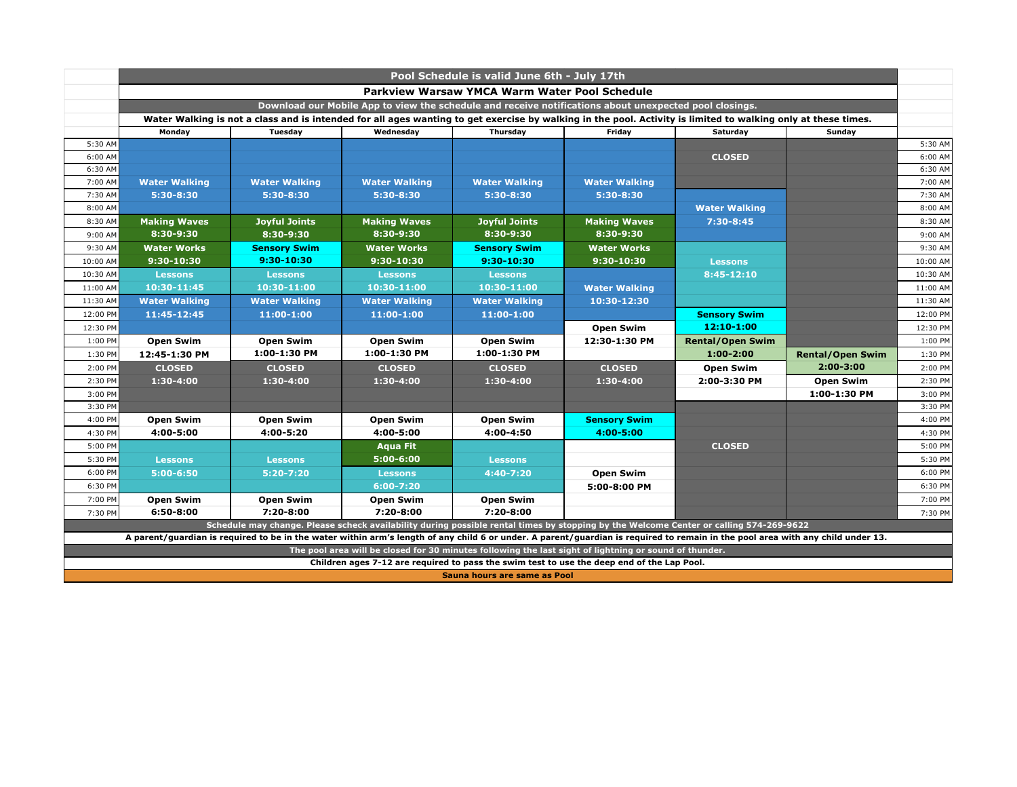|                                                                                                                                                               |                                                                                                        |                      |                                                                                                        | Pool Schedule is valid June 6th - July 17th |                      |                                                                                                                                                                                 |                         |           |  |  |  |
|---------------------------------------------------------------------------------------------------------------------------------------------------------------|--------------------------------------------------------------------------------------------------------|----------------------|--------------------------------------------------------------------------------------------------------|---------------------------------------------|----------------------|---------------------------------------------------------------------------------------------------------------------------------------------------------------------------------|-------------------------|-----------|--|--|--|
|                                                                                                                                                               | Parkview Warsaw YMCA Warm Water Pool Schedule                                                          |                      |                                                                                                        |                                             |                      |                                                                                                                                                                                 |                         |           |  |  |  |
|                                                                                                                                                               | Download our Mobile App to view the schedule and receive notifications about unexpected pool closings. |                      |                                                                                                        |                                             |                      |                                                                                                                                                                                 |                         |           |  |  |  |
| Water Walking is not a class and is intended for all ages wanting to get exercise by walking in the pool. Activity is limited to walking only at these times. |                                                                                                        |                      |                                                                                                        |                                             |                      |                                                                                                                                                                                 |                         |           |  |  |  |
|                                                                                                                                                               | Monday                                                                                                 | Tuesday              | Wednesday                                                                                              | Thursday                                    | Friday               | Saturday                                                                                                                                                                        | Sunday                  |           |  |  |  |
| 5:30 AM                                                                                                                                                       |                                                                                                        |                      |                                                                                                        |                                             |                      |                                                                                                                                                                                 |                         | $5:30$ AM |  |  |  |
| 6:00 AM                                                                                                                                                       |                                                                                                        |                      |                                                                                                        |                                             |                      | <b>CLOSED</b>                                                                                                                                                                   |                         | 6:00 AM   |  |  |  |
| 6:30 AM                                                                                                                                                       |                                                                                                        |                      |                                                                                                        |                                             |                      |                                                                                                                                                                                 |                         | 6:30 AM   |  |  |  |
| 7:00 AM                                                                                                                                                       | <b>Water Walking</b>                                                                                   | <b>Water Walking</b> | <b>Water Walking</b>                                                                                   | <b>Water Walking</b>                        | <b>Water Walking</b> |                                                                                                                                                                                 |                         | 7:00 AM   |  |  |  |
| 7:30 AM                                                                                                                                                       | 5:30-8:30                                                                                              | 5:30-8:30            | 5:30-8:30                                                                                              | 5:30-8:30                                   | 5:30-8:30            |                                                                                                                                                                                 |                         | 7:30 AM   |  |  |  |
| 8:00 AM                                                                                                                                                       |                                                                                                        |                      |                                                                                                        |                                             |                      | <b>Water Walking</b>                                                                                                                                                            |                         | 8:00 AM   |  |  |  |
| 8:30 AM                                                                                                                                                       | <b>Making Waves</b>                                                                                    | <b>Joyful Joints</b> | <b>Making Waves</b>                                                                                    | <b>Joyful Joints</b>                        | <b>Making Waves</b>  | 7:30-8:45                                                                                                                                                                       |                         | 8:30 AM   |  |  |  |
| 9:00 AM                                                                                                                                                       | 8:30-9:30                                                                                              | 8:30-9:30            | 8:30-9:30                                                                                              | 8:30-9:30                                   | 8:30-9:30            |                                                                                                                                                                                 |                         | 9:00 AM   |  |  |  |
| 9:30 AM                                                                                                                                                       | <b>Water Works</b>                                                                                     | <b>Sensory Swim</b>  | <b>Water Works</b>                                                                                     | <b>Sensory Swim</b>                         | <b>Water Works</b>   |                                                                                                                                                                                 |                         | 9:30 AM   |  |  |  |
| 10:00 AM                                                                                                                                                      | 9:30-10:30                                                                                             | 9:30-10:30           | 9:30-10:30                                                                                             | 9:30-10:30                                  | $9:30 - 10:30$       | <b>Lessons</b>                                                                                                                                                                  |                         | 10:00 AM  |  |  |  |
| 10:30 AM                                                                                                                                                      | <b>Lessons</b>                                                                                         | <b>Lessons</b>       | <b>Lessons</b>                                                                                         | <b>Lessons</b>                              |                      | $8:45 - 12:10$                                                                                                                                                                  |                         | 10:30 AM  |  |  |  |
| 11:00 AM                                                                                                                                                      | 10:30-11:45                                                                                            | 10:30-11:00          | 10:30-11:00                                                                                            | 10:30-11:00                                 | <b>Water Walking</b> |                                                                                                                                                                                 |                         | 11:00 AM  |  |  |  |
| 11:30 AM                                                                                                                                                      | <b>Water Walking</b>                                                                                   | <b>Water Walking</b> | <b>Water Walking</b>                                                                                   | <b>Water Walking</b>                        | 10:30-12:30          |                                                                                                                                                                                 |                         | 11:30 AM  |  |  |  |
| 12:00 PM                                                                                                                                                      | 11:45-12:45                                                                                            | 11:00-1:00           | 11:00-1:00                                                                                             | 11:00-1:00                                  |                      | <b>Sensory Swim</b>                                                                                                                                                             |                         | 12:00 PM  |  |  |  |
| 12:30 PM                                                                                                                                                      |                                                                                                        |                      |                                                                                                        |                                             | <b>Open Swim</b>     | $12:10 - 1:00$                                                                                                                                                                  |                         | 12:30 PM  |  |  |  |
| 1:00 PM                                                                                                                                                       | <b>Open Swim</b>                                                                                       | <b>Open Swim</b>     | <b>Open Swim</b>                                                                                       | <b>Open Swim</b>                            | 12:30-1:30 PM        | <b>Rental/Open Swim</b>                                                                                                                                                         |                         | 1:00 PM   |  |  |  |
| 1:30 PM                                                                                                                                                       | 12:45-1:30 PM                                                                                          | 1:00-1:30 PM         | 1:00-1:30 PM                                                                                           | 1:00-1:30 PM                                |                      | 1:00-2:00                                                                                                                                                                       | <b>Rental/Open Swim</b> | 1:30 PM   |  |  |  |
| 2:00 PM                                                                                                                                                       | <b>CLOSED</b>                                                                                          | <b>CLOSED</b>        | <b>CLOSED</b>                                                                                          | <b>CLOSED</b>                               | <b>CLOSED</b>        | <b>Open Swim</b>                                                                                                                                                                | $2:00 - 3:00$           | 2:00 PM   |  |  |  |
| 2:30 PM                                                                                                                                                       | 1:30-4:00                                                                                              | 1:30-4:00            | 1:30-4:00                                                                                              | $1:30 - 4:00$                               | 1:30-4:00            | 2:00-3:30 PM                                                                                                                                                                    | <b>Open Swim</b>        | 2:30 PM   |  |  |  |
| 3:00 PM                                                                                                                                                       |                                                                                                        |                      |                                                                                                        |                                             |                      |                                                                                                                                                                                 | 1:00-1:30 PM            | 3:00 PM   |  |  |  |
| 3:30 PM                                                                                                                                                       |                                                                                                        |                      |                                                                                                        |                                             |                      |                                                                                                                                                                                 |                         | 3:30 PM   |  |  |  |
| 4:00 PM                                                                                                                                                       | <b>Open Swim</b>                                                                                       | <b>Open Swim</b>     | <b>Open Swim</b>                                                                                       | <b>Open Swim</b>                            | <b>Sensory Swim</b>  |                                                                                                                                                                                 |                         | 4:00 PM   |  |  |  |
| 4:30 PM                                                                                                                                                       | 4:00-5:00                                                                                              | 4:00-5:20            | 4:00-5:00                                                                                              | 4:00-4:50                                   | 4:00-5:00            |                                                                                                                                                                                 |                         | 4:30 PM   |  |  |  |
| 5:00 PM                                                                                                                                                       |                                                                                                        |                      | <b>Aqua Fit</b>                                                                                        |                                             |                      | <b>CLOSED</b>                                                                                                                                                                   |                         | 5:00 PM   |  |  |  |
| 5:30 PM                                                                                                                                                       | <b>Lessons</b>                                                                                         | <b>Lessons</b>       | $5:00 - 6:00$                                                                                          | <b>Lessons</b>                              |                      |                                                                                                                                                                                 |                         | 5:30 PM   |  |  |  |
| 6:00 PM                                                                                                                                                       | 5:00-6:50                                                                                              | $5:20 - 7:20$        | <b>Lessons</b>                                                                                         | $4:40 - 7:20$                               | <b>Open Swim</b>     |                                                                                                                                                                                 |                         | 6:00 PM   |  |  |  |
| 6:30 PM                                                                                                                                                       |                                                                                                        |                      | $6:00 - 7:20$                                                                                          |                                             | 5:00-8:00 PM         |                                                                                                                                                                                 |                         | 6:30 PM   |  |  |  |
| 7:00 PM                                                                                                                                                       | <b>Open Swim</b>                                                                                       | <b>Open Swim</b>     | <b>Open Swim</b>                                                                                       | <b>Open Swim</b>                            |                      |                                                                                                                                                                                 |                         | 7:00 PM   |  |  |  |
| 7:30 PM                                                                                                                                                       | 6:50-8:00                                                                                              | 7:20-8:00            | 7:20-8:00                                                                                              | 7:20-8:00                                   |                      |                                                                                                                                                                                 |                         | 7:30 PM   |  |  |  |
|                                                                                                                                                               |                                                                                                        |                      |                                                                                                        |                                             |                      | Schedule may change. Please scheck availability during possible rental times by stopping by the Welcome Center or calling 574-269-9622                                          |                         |           |  |  |  |
|                                                                                                                                                               |                                                                                                        |                      |                                                                                                        |                                             |                      | A parent/guardian is required to be in the water within arm's length of any child 6 or under. A parent/guardian is required to remain in the pool area with any child under 13. |                         |           |  |  |  |
|                                                                                                                                                               |                                                                                                        |                      | The pool area will be closed for 30 minutes following the last sight of lightning or sound of thunder. |                                             |                      |                                                                                                                                                                                 |                         |           |  |  |  |
|                                                                                                                                                               |                                                                                                        |                      | Children ages 7-12 are required to pass the swim test to use the deep end of the Lap Pool.             |                                             |                      |                                                                                                                                                                                 |                         |           |  |  |  |
|                                                                                                                                                               |                                                                                                        |                      |                                                                                                        | Sauna hours are same as Pool                |                      |                                                                                                                                                                                 |                         |           |  |  |  |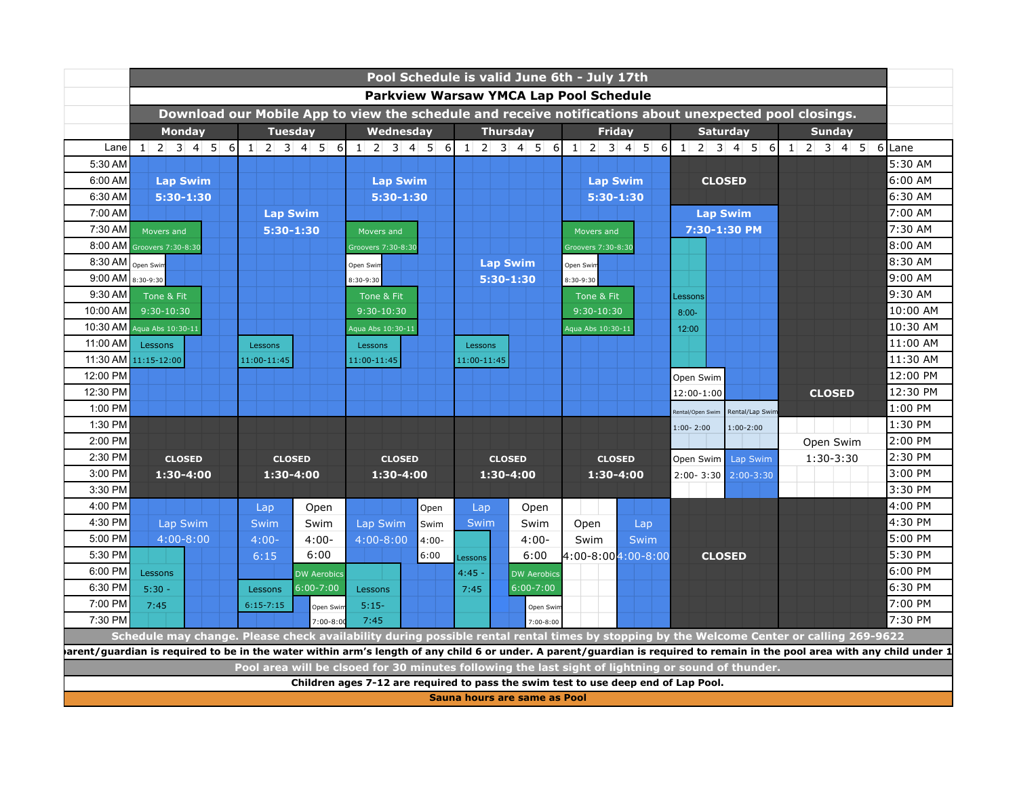|           |                                                                     |                 |                         |                                                                                    |          |             | Pool Schedule is valid June 6th - July 17th   |                     |             |                                                                                                                                                                            |                              |          |
|-----------|---------------------------------------------------------------------|-----------------|-------------------------|------------------------------------------------------------------------------------|----------|-------------|-----------------------------------------------|---------------------|-------------|----------------------------------------------------------------------------------------------------------------------------------------------------------------------------|------------------------------|----------|
|           |                                                                     |                 |                         |                                                                                    |          |             | <b>Parkview Warsaw YMCA Lap Pool Schedule</b> |                     |             |                                                                                                                                                                            |                              |          |
|           |                                                                     |                 |                         |                                                                                    |          |             |                                               |                     |             | Download our Mobile App to view the schedule and receive notifications about unexpected pool closings.                                                                     |                              |          |
|           | <b>Monday</b>                                                       | <b>Tuesday</b>  |                         | Wednesday                                                                          |          |             | <b>Thursday</b>                               | <b>Friday</b>       |             | <b>Saturday</b>                                                                                                                                                            | <b>Sunday</b>                |          |
| Lanel     | $2 \begin{array}{ c c c } 3 & 4 & 5 \end{array}$<br>$\vert 1 \vert$ | 6               | $1 \t2 \t3 \t4 \t5 \t6$ | $1 \t2 \t3 \t4 \t5$                                                                | -6 I     |             | $1 \ 2 \ 3 \ 4 \ 5$<br>$6 \mid$               | $1 \ 2 \ 3 \ 4 \ 5$ | -6          | $2 \begin{array}{ c c c } 3 & 4 & 5 \end{array}$<br>1<br>6                                                                                                                 | $1 \ 2 \ 3 \ 4 \ 5 \ 6$ Lane |          |
| 5:30 AM   |                                                                     |                 |                         |                                                                                    |          |             |                                               |                     |             |                                                                                                                                                                            |                              | 5:30 AM  |
| 6:00 AM   | <b>Lap Swim</b>                                                     |                 |                         | <b>Lap Swim</b>                                                                    |          |             |                                               | <b>Lap Swim</b>     |             | <b>CLOSED</b>                                                                                                                                                              |                              | 6:00 AM  |
| 6:30 AM   | 5:30-1:30                                                           |                 |                         | 5:30-1:30                                                                          |          |             |                                               | 5:30-1:30           |             |                                                                                                                                                                            |                              | 6:30 AM  |
| 7:00 AM   |                                                                     | <b>Lap Swim</b> |                         |                                                                                    |          |             |                                               |                     |             | <b>Lap Swim</b>                                                                                                                                                            |                              | 7:00 AM  |
| 7:30 AM   | Movers and                                                          | 5:30-1:30       |                         | Movers and                                                                         |          |             |                                               | Movers and          |             | 7:30-1:30 PM                                                                                                                                                               |                              | 7:30 AM  |
| $8:00$ AM | Groovers 7:30-8:30                                                  |                 |                         | Groovers 7:30-8:30                                                                 |          |             |                                               | Groovers 7:30-8:30  |             |                                                                                                                                                                            |                              | 8:00 AM  |
| 8:30 AM   | Open Swim                                                           |                 |                         | Open Swim                                                                          |          |             | <b>Lap Swim</b>                               | Open Swim           |             |                                                                                                                                                                            |                              | 8:30 AM  |
| $9:00$ AM | $8:30 - 9:30$                                                       |                 |                         | 8:30-9:30                                                                          |          |             | 5:30-1:30                                     | 8:30-9:30           |             |                                                                                                                                                                            |                              | 9:00 AM  |
| 9:30 AM   | Tone & Fit                                                          |                 |                         | Tone & Fit                                                                         |          |             |                                               | Tone & Fit          |             | Lessons                                                                                                                                                                    |                              | 9:30 AM  |
| 10:00 AM  | $9:30-10:30$                                                        |                 |                         | $9:30-10:30$                                                                       |          |             |                                               | $9:30-10:30$        |             | $8:00-$                                                                                                                                                                    |                              | 10:00 AM |
| 10:30 AM  | Aqua Abs 10:30-11                                                   |                 |                         | Aqua Abs 10:30-11                                                                  |          |             |                                               | Aqua Abs 10:30-11   |             | 12:00                                                                                                                                                                      |                              | 10:30 AM |
| 11:00 AM  | Lessons                                                             | Lessons         |                         | Lessons                                                                            |          | Lessons     |                                               |                     |             |                                                                                                                                                                            |                              | 11:00 AM |
| 11:30 AM  | 11:15-12:00                                                         | 11:00-11:45     |                         | 11:00-11:45                                                                        |          | 11:00-11:45 |                                               |                     |             |                                                                                                                                                                            |                              | 11:30 AM |
| 12:00 PM  |                                                                     |                 |                         |                                                                                    |          |             |                                               |                     |             | Open Swim                                                                                                                                                                  |                              | 12:00 PM |
| 12:30 PM  |                                                                     |                 |                         |                                                                                    |          |             |                                               |                     |             | 12:00-1:00                                                                                                                                                                 | <b>CLOSED</b>                | 12:30 PM |
| 1:00 PM   |                                                                     |                 |                         |                                                                                    |          |             |                                               |                     |             | Rental/Lap Swir<br>Rental/Open Swim                                                                                                                                        |                              | 1:00 PM  |
| 1:30 PM   |                                                                     |                 |                         |                                                                                    |          |             |                                               |                     |             | $1:00 - 2:00$<br>$1:00-2:00$                                                                                                                                               |                              | 1:30 PM  |
| 2:00 PM   |                                                                     |                 |                         |                                                                                    |          |             |                                               |                     |             |                                                                                                                                                                            | Open Swim                    | 2:00 PM  |
| 2:30 PM   | <b>CLOSED</b>                                                       |                 | <b>CLOSED</b>           | <b>CLOSED</b>                                                                      |          |             | <b>CLOSED</b>                                 | <b>CLOSED</b>       |             | Open Swim<br>Lap Swim                                                                                                                                                      | 1:30-3:30                    | 2:30 PM  |
| 3:00 PM   | $1:30-4:00$                                                         |                 | 1:30-4:00               | $1:30-4:00$                                                                        |          |             | $1:30-4:00$                                   | $1:30-4:00$         |             | 2:00-3:30 2:00-3:30                                                                                                                                                        |                              | 3:00 PM  |
| 3:30 PM   |                                                                     |                 |                         |                                                                                    |          |             |                                               |                     |             |                                                                                                                                                                            |                              | 3:30 PM  |
| 4:00 PM   |                                                                     | Lap             | Open                    |                                                                                    | Open     | Lap         | Open                                          |                     |             |                                                                                                                                                                            |                              | 4:00 PM  |
| 4:30 PM   | Lap Swim                                                            | <b>Swim</b>     | Swim                    | Lap Swim                                                                           | Swim     | Swim        | Swim                                          | Open                | Lap         |                                                                                                                                                                            |                              | 4:30 PM  |
| 5:00 PM   | $4:00 - 8:00$                                                       | $4:00 -$        | $4:00 -$                | $4:00 - 8:00$                                                                      | $4:00 -$ |             | $4:00 -$                                      | Swim                | <b>Swim</b> |                                                                                                                                                                            |                              | 5:00 PM  |
| 5:30 PM   |                                                                     | 6:15            | 6:00                    |                                                                                    | 6:00     | Lessons     | 6:00                                          | 4:00-8:004:00-8:00  |             | <b>CLOSED</b>                                                                                                                                                              |                              | 5:30 PM  |
| 6:00 PM   | Lessons                                                             |                 | <b>DW Aerobics</b>      |                                                                                    |          | $4:45 -$    | <b>DW Aerobics</b>                            |                     |             |                                                                                                                                                                            |                              | 6:00 PM  |
| 6:30 PM   | $5:30 -$                                                            | Lessons         | $6:00 - 7:00$           | Lessons                                                                            |          | 7:45        | $6:00 - 7:00$                                 |                     |             |                                                                                                                                                                            |                              | 6:30 PM  |
| 7:00 PM   | 7:45                                                                | $6:15 - 7:15$   | Open Swin               | $5:15-$                                                                            |          |             | Open Swin                                     |                     |             |                                                                                                                                                                            |                              | 7:00 PM  |
| 7:30 PM   |                                                                     |                 | $7:00 - 8:00$           | 7:45                                                                               |          |             | $7:00-8:00$                                   |                     |             |                                                                                                                                                                            |                              | 7:30 PM  |
|           |                                                                     |                 |                         |                                                                                    |          |             |                                               |                     |             | Schedule may change. Please check availability during possible rental rental times by stopping by the Welcome Center or calling 269-9622                                   |                              |          |
|           |                                                                     |                 |                         |                                                                                    |          |             |                                               |                     |             | arent/quardian is required to be in the water within arm's length of any child 6 or under. A parent/quardian is required to remain in the pool area with any child under 1 |                              |          |
|           |                                                                     |                 |                         |                                                                                    |          |             |                                               |                     |             |                                                                                                                                                                            |                              |          |
|           |                                                                     |                 |                         | Children ages 7-12 are required to pass the swim test to use deep end of Lap Pool. |          |             |                                               |                     |             | Pool area will be clsoed for 30 minutes following the last sight of lightning or sound of thunder.                                                                         |                              |          |